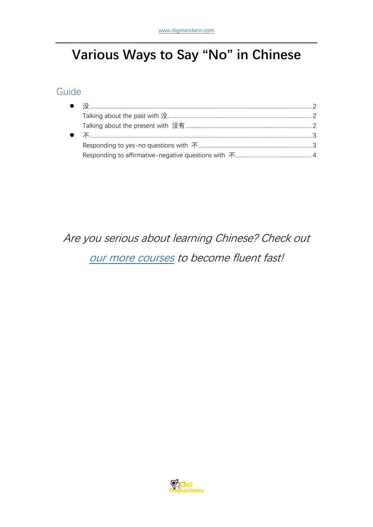# Various Ways to Say "No" in Chinese

## Guide

## Are you serious about learning Chinese? Check out our more courses to become fluent fast!

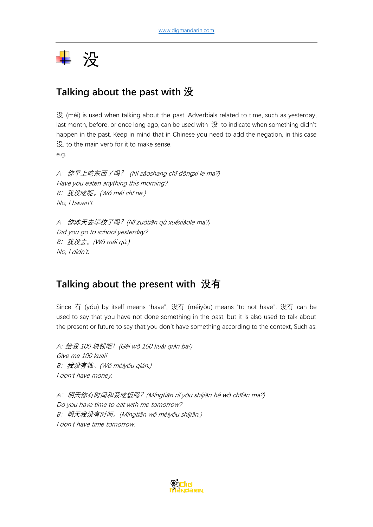<span id="page-1-0"></span>

## <span id="page-1-1"></span>**Talking about the past with 没**

没 (méi) is used when talking about the past. Adverbials related to time, such as yesterday, last month, before, or once long ago, can be used with 没 to indicate when something didn't happen in the past. Keep in mind that in Chinese you need to add the negation, in this case 没, to the main verb for it to make sense. e.g.

<sup>A</sup>:你早上吃东西了吗? (Nǐ zǎoshang chī dōngxi le ma?) Have you eaten anything this morning? <sup>B</sup>:我没吃呢。(Wǒ méi chī ne.) No, I haven't.

<sup>A</sup>:你昨天去学校了吗?(Nǐ zuótiān qù xuéxiàole ma?) Did you go to school yesterday? <sup>B</sup>:我没去。(Wǒ méi qù.) No, I didn't.

## <span id="page-1-2"></span>**Talking about the present with 没有**

Since 有 (yŏu) by itself means "have", 没有 (méiyŏu) means "to not have". 没有 can be used to say that you have not done something in the past, but it is also used to talk about the present or future to say that you don't have something according to the context, Such as:

A: 给我 <sup>100</sup> 块钱吧!(Gěi wǒ 100 kuài qián ba!) Give me 100 kuai! <sup>B</sup>:我没有钱。(Wǒ méiyǒu qián.) I don't have money.

<sup>A</sup>:明天你有时间和我吃饭吗?(Míngtiān nǐ yǒu shíjiān hé wǒ chīfàn ma?) Do you have time to eat with me tomorrow? <sup>B</sup>:明天我没有时间。(Míngtiān wǒ méiyǒu shíjiān.) I don't have time tomorrow.

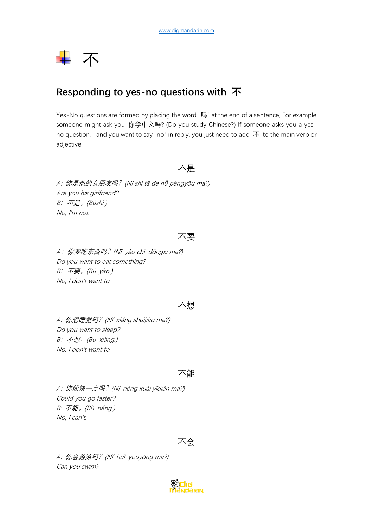# <span id="page-2-0"></span>—— 不

## <span id="page-2-1"></span>**Responding to yes-no questions with 不**

Yes-No questions are formed by placing the word "吗" at the end of a sentence, For example someone might ask you 你学中文吗? (Do you study Chinese?) If someone asks you a yesno question, and you want to say "no" in reply, you just need to add  $\bar{\mathrm{A}}$  to the main verb or adjective.

#### 不是

A: 你是他的女朋友吗?(Nǐ shì tā de nǚ péngyǒu ma?) Are you his girlfriend? B:不是。(Búshì.) No, I'm not.

#### 不要

<sup>A</sup>:你要吃东西吗?(N<sup>ǐ</sup> <sup>y</sup>ào ch<sup>ī</sup> <sup>d</sup>ōngxi ma?) Do you want to eat something?  $B: \overline{F} \overline{\mathcal{F}}$ 。(Bú yào.) No, I don't want to.

#### 不想

A: 你想睡觉吗? (Nǐ xiǎng shuìjiào ma?) Do you want to sleep? <sup>B</sup>:不想。(Bù xiǎng.) No, I don't want to.

#### 不能

A: 你能快一点吗?(N<sup>ǐ</sup> <sup>n</sup>éng kuài yīdiǎn ma?) Could you go faster? B: 不能。(Bù <sup>n</sup>éng.) No, I can't.



A: 你会游泳吗? (Nǐ huì yóuyǒng ma?) Can you swim?

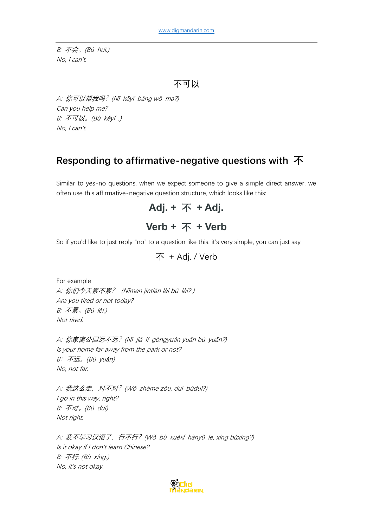B: 不会。(Bú huì.) No, I can't.

```
不可以
```
A: 你可以帮我吗?(N<sup>ǐ</sup> <sup>k</sup>ěy<sup>ǐ</sup> <sup>b</sup>āng wǒ ma?) Can you help me? B: 不可以。(Bù kěyǐ .) No, I can't.

## <span id="page-3-0"></span>**Responding to affirmative-negative questions with 不**

Similar to yes-no questions, when we expect someone to give a simple direct answer, we often use this affirmative-negative question structure, which looks like this:

```
Adj. + 不 + Adj.
```
## **Verb + 不 + Verb**

So if you'd like to just reply "no" to a question like this, it's very simple, you can just say

不 + Adj. / Verb

For example A: 你们今天累不累? (Nǐmen jīntiān lèi b<sup>ú</sup> <sup>l</sup>èi? ) Are you tired or not today? B: 不累。(Bú lèi.) Not tired.

A: 你家离公园远不远?(N<sup>ǐ</sup> ji<sup>ā</sup> <sup>l</sup><sup>í</sup> <sup>g</sup>ōngyuán yuǎn b<sup>ù</sup> yuǎn?) Is your home far away from the park or not? <sup>B</sup>:不远。(Bù yuǎn) No, not far.

A: 我这么走, 对不对? (Wǒ zhème zǒu, duì búduì?) I go in this way, right? B: 不对。(Bú duì) Not right.

A: 我不学习汉语了, 行不行? (Wǒ bù xuéxí hànyǔ le, xíng bùxíng?) Is it okay if I don't learn Chinese? B: 不行. (Bù <sup>x</sup>íng.) No, it's not okay.